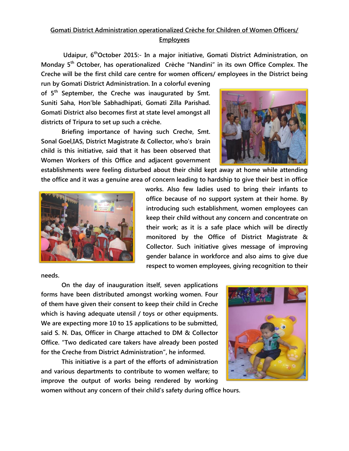## **Gomati District Administration operationalized Crèche for Children of Women Officers/ Employees**

**Udaipur, 6thOctober 2015:- In a major initiative, Gomati District Administration, on Monday 5 th October, has operationalized Crèche "Nandini" in its own Office Complex. The Creche will be the first child care centre for women officers/ employees in the District being** 

**run by Gomati District Administration. In a colorful evening of 5th September, the Creche was inaugurated by Smt. Suniti Saha, Hon'ble Sabhadhipati, Gomati Zilla Parishad. Gomati District also becomes first at state level amongst all districts of Tripura to set up such a crèche.**

**Briefing importance of having such Creche, Smt. Sonal Goel,IAS, District Magistrate & Collector, who's brain child is this initiative, said that it has been observed that Women Workers of this Office and adjacent government** 



**establishments were feeling disturbed about their child kept away at home while attending the office and it was a genuine area of concern leading to hardship to give their best in office** 



**works. Also few ladies used to bring their infants to office because of no support system at their home. By introducing such establishment, women employees can keep their child without any concern and concentrate on their work; as it is a safe place which will be directly monitored by the Office of District Magistrate & Collector. Such initiative gives message of improving gender balance in workforce and also aims to give due respect to women employees, giving recognition to their** 

**needs.**

**On the day of inauguration itself, seven applications forms have been distributed amongst working women. Four of them have given their consent to keep their child in Creche which is having adequate utensil / toys or other equipments. We are expecting more 10 to 15 applications to be submitted, said S. N. Das, Officer in Charge attached to DM & Collector Office. "Two dedicated care takers have already been posted for the Creche from District Administration", he informed.**

**This initiative is a part of the efforts of administration and various departments to contribute to women welfare; to improve the output of works being rendered by working** 



**women without any concern of their child's safety during office hours.**